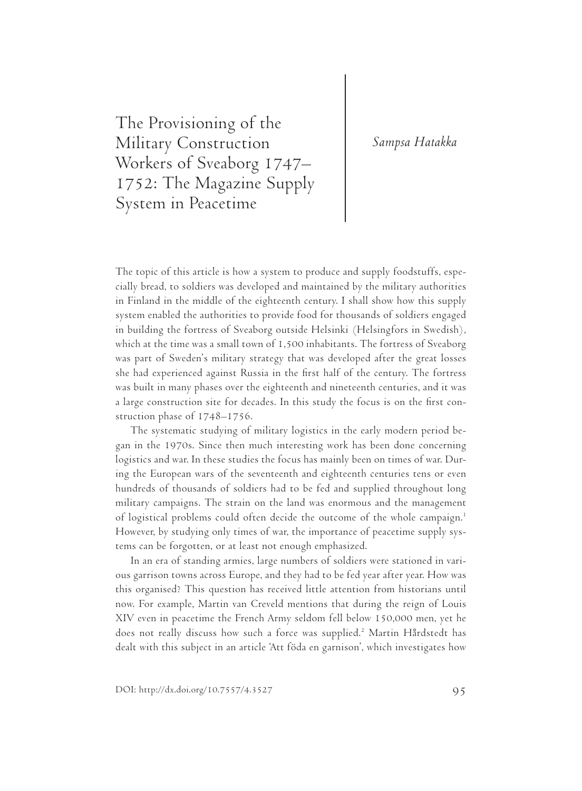# *Sampsa Hatakka*

The Provisioning of the Military Construction Workers of Sveaborg 1747– 1752: The Magazine Supply System in Peacetime

The topic of this article is how a system to produce and supply foodstuffs, especially bread, to soldiers was developed and maintained by the military authorities in Finland in the middle of the eighteenth century. I shall show how this supply system enabled the authorities to provide food for thousands of soldiers engaged in building the fortress of Sveaborg outside Helsinki (Helsingfors in Swedish), which at the time was a small town of 1,500 inhabitants. The fortress of Sveaborg was part of Sweden's military strategy that was developed after the great losses she had experienced against Russia in the first half of the century. The fortress was built in many phases over the eighteenth and nineteenth centuries, and it was a large construction site for decades. In this study the focus is on the first construction phase of 1748–1756.

The systematic studying of military logistics in the early modern period began in the 1970s. Since then much interesting work has been done concerning logistics and war. In these studies the focus has mainly been on times of war. During the European wars of the seventeenth and eighteenth centuries tens or even hundreds of thousands of soldiers had to be fed and supplied throughout long military campaigns. The strain on the land was enormous and the management of logistical problems could often decide the outcome of the whole campaign.1 However, by studying only times of war, the importance of peacetime supply systems can be forgotten, or at least not enough emphasized.

In an era of standing armies, large numbers of soldiers were stationed in various garrison towns across Europe, and they had to be fed year after year. How was this organised? This question has received little attention from historians until now. For example, Martin van Creveld mentions that during the reign of Louis XIV even in peacetime the French Army seldom fell below 150,000 men, yet he does not really discuss how such a force was supplied.<sup>2</sup> Martin Hårdstedt has dealt with this subject in an article 'Att föda en garnison', which investigates how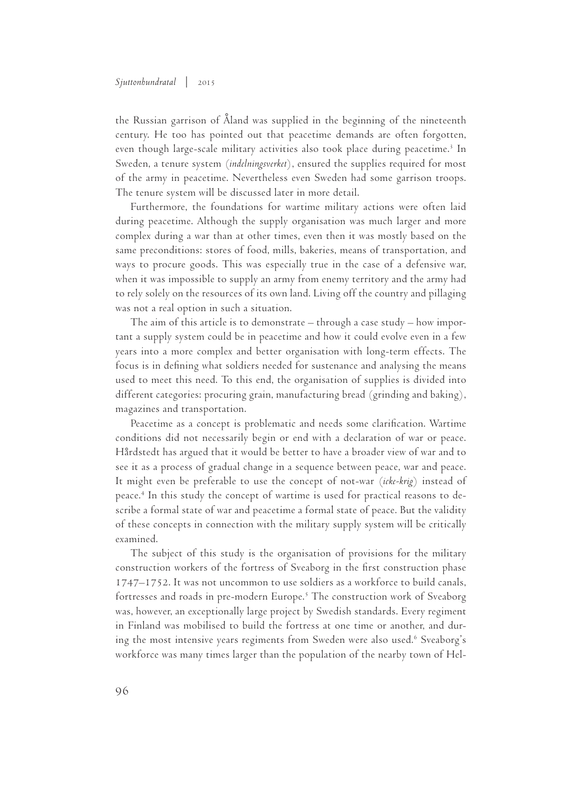#### *Sjuttonhundratal* | 2015

the Russian garrison of Åland was supplied in the beginning of the nineteenth century. He too has pointed out that peacetime demands are often forgotten, even though large-scale military activities also took place during peacetime.<sup>3</sup> In Sweden, a tenure system (*indelningsverket*), ensured the supplies required for most of the army in peacetime. Nevertheless even Sweden had some garrison troops. The tenure system will be discussed later in more detail.

Furthermore, the foundations for wartime military actions were often laid during peacetime. Although the supply organisation was much larger and more complex during a war than at other times, even then it was mostly based on the same preconditions: stores of food, mills, bakeries, means of transportation, and ways to procure goods. This was especially true in the case of a defensive war, when it was impossible to supply an army from enemy territory and the army had to rely solely on the resources of its own land. Living off the country and pillaging was not a real option in such a situation.

The aim of this article is to demonstrate – through a case study – how important a supply system could be in peacetime and how it could evolve even in a few years into a more complex and better organisation with long-term effects. The focus is in defining what soldiers needed for sustenance and analysing the means used to meet this need. To this end, the organisation of supplies is divided into different categories: procuring grain, manufacturing bread (grinding and baking), magazines and transportation.

Peacetime as a concept is problematic and needs some clarification. Wartime conditions did not necessarily begin or end with a declaration of war or peace. Hårdstedt has argued that it would be better to have a broader view of war and to see it as a process of gradual change in a sequence between peace, war and peace. It might even be preferable to use the concept of not-war (*icke-krig*) instead of peace.4 In this study the concept of wartime is used for practical reasons to describe a formal state of war and peacetime a formal state of peace. But the validity of these concepts in connection with the military supply system will be critically examined.

The subject of this study is the organisation of provisions for the military construction workers of the fortress of Sveaborg in the first construction phase 1747–1752. It was not uncommon to use soldiers as a workforce to build canals, fortresses and roads in pre-modern Europe.<sup>5</sup> The construction work of Sveaborg was, however, an exceptionally large project by Swedish standards. Every regiment in Finland was mobilised to build the fortress at one time or another, and during the most intensive years regiments from Sweden were also used.<sup>6</sup> Sveaborg's workforce was many times larger than the population of the nearby town of Hel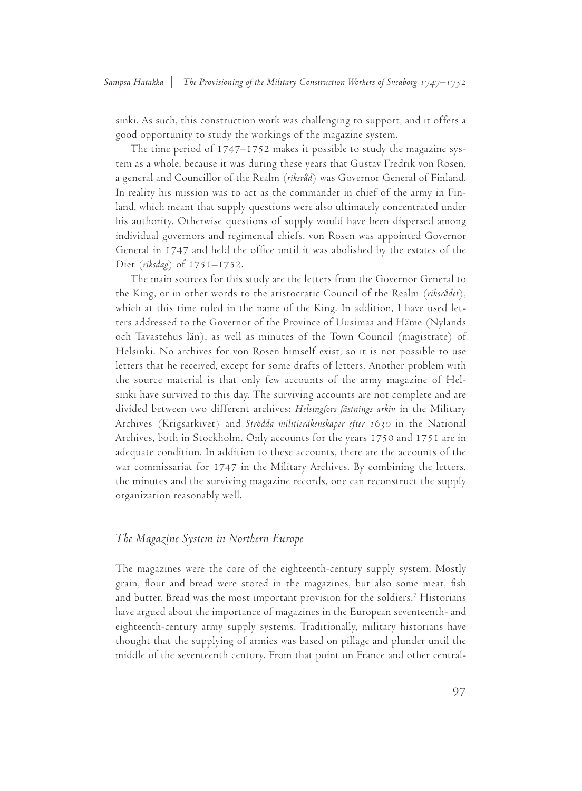sinki. As such, this construction work was challenging to support, and it offers a good opportunity to study the workings of the magazine system.

The time period of 1747–1752 makes it possible to study the magazine system as a whole, because it was during these years that Gustav Fredrik von Rosen, a general and Councillor of the Realm (*riksråd*) was Governor General of Finland. In reality his mission was to act as the commander in chief of the army in Finland, which meant that supply questions were also ultimately concentrated under his authority. Otherwise questions of supply would have been dispersed among individual governors and regimental chiefs. von Rosen was appointed Governor General in 1747 and held the office until it was abolished by the estates of the Diet (*riksdag*) of 1751–1752.

The main sources for this study are the letters from the Governor General to the King, or in other words to the aristocratic Council of the Realm (*riksrådet*), which at this time ruled in the name of the King. In addition, I have used letters addressed to the Governor of the Province of Uusimaa and Häme (Nylands och Tavastehus län), as well as minutes of the Town Council (magistrate) of Helsinki. No archives for von Rosen himself exist, so it is not possible to use letters that he received, except for some drafts of letters. Another problem with the source material is that only few accounts of the army magazine of Helsinki have survived to this day. The surviving accounts are not complete and are divided between two different archives: *Helsingfors fästnings arkiv* in the Military Archives (Krigsarkivet) and *Strödda militieräkenskaper efter 1630* in the National Archives, both in Stockholm. Only accounts for the years 1750 and 1751 are in adequate condition. In addition to these accounts, there are the accounts of the war commissariat for 1747 in the Military Archives. By combining the letters, the minutes and the surviving magazine records, one can reconstruct the supply organization reasonably well.

## *The Magazine System in Northern Europe*

The magazines were the core of the eighteenth-century supply system. Mostly grain, flour and bread were stored in the magazines, but also some meat, fish and butter. Bread was the most important provision for the soldiers.7 Historians have argued about the importance of magazines in the European seventeenth- and eighteenth-century army supply systems. Traditionally, military historians have thought that the supplying of armies was based on pillage and plunder until the middle of the seventeenth century. From that point on France and other central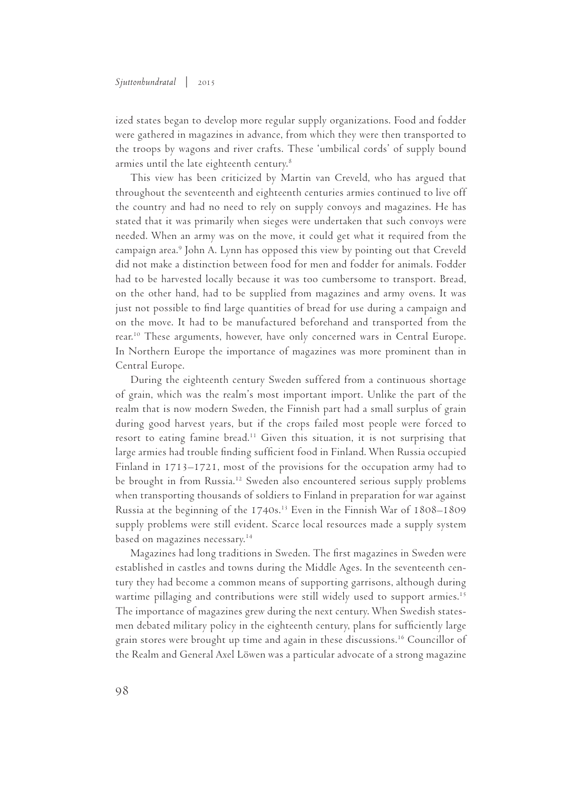ized states began to develop more regular supply organizations. Food and fodder were gathered in magazines in advance, from which they were then transported to the troops by wagons and river crafts. These 'umbilical cords' of supply bound armies until the late eighteenth century.8

This view has been criticized by Martin van Creveld, who has argued that throughout the seventeenth and eighteenth centuries armies continued to live off the country and had no need to rely on supply convoys and magazines. He has stated that it was primarily when sieges were undertaken that such convoys were needed. When an army was on the move, it could get what it required from the campaign area.9 John A. Lynn has opposed this view by pointing out that Creveld did not make a distinction between food for men and fodder for animals. Fodder had to be harvested locally because it was too cumbersome to transport. Bread, on the other hand, had to be supplied from magazines and army ovens. It was just not possible to find large quantities of bread for use during a campaign and on the move. It had to be manufactured beforehand and transported from the rear.<sup>10</sup> These arguments, however, have only concerned wars in Central Europe. In Northern Europe the importance of magazines was more prominent than in Central Europe.

During the eighteenth century Sweden suffered from a continuous shortage of grain, which was the realm's most important import. Unlike the part of the realm that is now modern Sweden, the Finnish part had a small surplus of grain during good harvest years, but if the crops failed most people were forced to resort to eating famine bread.11 Given this situation, it is not surprising that large armies had trouble finding sufficient food in Finland. When Russia occupied Finland in 1713–1721, most of the provisions for the occupation army had to be brought in from Russia.12 Sweden also encountered serious supply problems when transporting thousands of soldiers to Finland in preparation for war against Russia at the beginning of the 1740s.<sup>13</sup> Even in the Finnish War of 1808–1809 supply problems were still evident. Scarce local resources made a supply system based on magazines necessary.14

Magazines had long traditions in Sweden. The first magazines in Sweden were established in castles and towns during the Middle Ages. In the seventeenth century they had become a common means of supporting garrisons, although during wartime pillaging and contributions were still widely used to support armies.<sup>15</sup> The importance of magazines grew during the next century. When Swedish statesmen debated military policy in the eighteenth century, plans for sufficiently large grain stores were brought up time and again in these discussions.<sup>16</sup> Councillor of the Realm and General Axel Löwen was a particular advocate of a strong magazine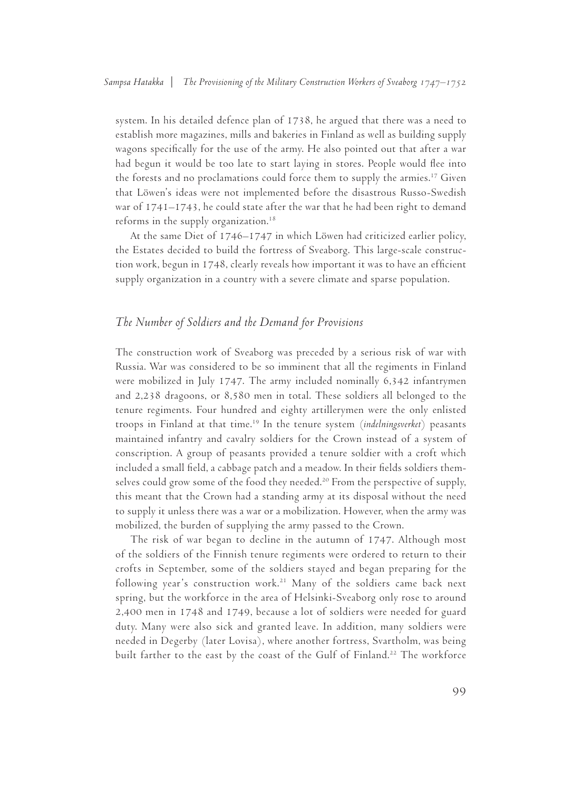system. In his detailed defence plan of 1738, he argued that there was a need to establish more magazines, mills and bakeries in Finland as well as building supply wagons specifically for the use of the army. He also pointed out that after a war had begun it would be too late to start laying in stores. People would flee into the forests and no proclamations could force them to supply the armies.17 Given that Löwen's ideas were not implemented before the disastrous Russo-Swedish war of 1741–1743, he could state after the war that he had been right to demand reforms in the supply organization.18

At the same Diet of 1746–1747 in which Löwen had criticized earlier policy, the Estates decided to build the fortress of Sveaborg. This large-scale construction work, begun in 1748, clearly reveals how important it was to have an efficient supply organization in a country with a severe climate and sparse population.

## *The Number of Soldiers and the Demand for Provisions*

The construction work of Sveaborg was preceded by a serious risk of war with Russia. War was considered to be so imminent that all the regiments in Finland were mobilized in July 1747. The army included nominally 6,342 infantrymen and 2,238 dragoons, or 8,580 men in total. These soldiers all belonged to the tenure regiments. Four hundred and eighty artillerymen were the only enlisted troops in Finland at that time.19 In the tenure system (*indelningsverket*) peasants maintained infantry and cavalry soldiers for the Crown instead of a system of conscription. A group of peasants provided a tenure soldier with a croft which included a small field, a cabbage patch and a meadow. In their fields soldiers themselves could grow some of the food they needed.<sup>20</sup> From the perspective of supply, this meant that the Crown had a standing army at its disposal without the need to supply it unless there was a war or a mobilization. However, when the army was mobilized, the burden of supplying the army passed to the Crown.

The risk of war began to decline in the autumn of 1747. Although most of the soldiers of the Finnish tenure regiments were ordered to return to their crofts in September, some of the soldiers stayed and began preparing for the following year's construction work.<sup>21</sup> Many of the soldiers came back next spring, but the workforce in the area of Helsinki-Sveaborg only rose to around 2,400 men in 1748 and 1749, because a lot of soldiers were needed for guard duty. Many were also sick and granted leave. In addition, many soldiers were needed in Degerby (later Lovisa), where another fortress, Svartholm, was being built farther to the east by the coast of the Gulf of Finland.22 The workforce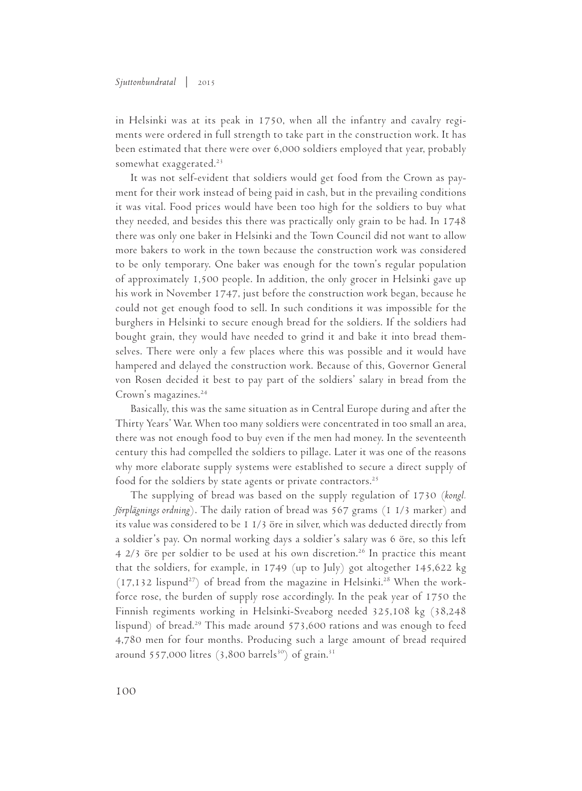in Helsinki was at its peak in 1750, when all the infantry and cavalry regiments were ordered in full strength to take part in the construction work. It has been estimated that there were over 6,000 soldiers employed that year, probably somewhat exaggerated.<sup>23</sup>

It was not self-evident that soldiers would get food from the Crown as payment for their work instead of being paid in cash, but in the prevailing conditions it was vital. Food prices would have been too high for the soldiers to buy what they needed, and besides this there was practically only grain to be had. In 1748 there was only one baker in Helsinki and the Town Council did not want to allow more bakers to work in the town because the construction work was considered to be only temporary. One baker was enough for the town's regular population of approximately 1,500 people. In addition, the only grocer in Helsinki gave up his work in November 1747, just before the construction work began, because he could not get enough food to sell. In such conditions it was impossible for the burghers in Helsinki to secure enough bread for the soldiers. If the soldiers had bought grain, they would have needed to grind it and bake it into bread themselves. There were only a few places where this was possible and it would have hampered and delayed the construction work. Because of this, Governor General von Rosen decided it best to pay part of the soldiers' salary in bread from the Crown's magazines.<sup>24</sup>

Basically, this was the same situation as in Central Europe during and after the Thirty Years' War. When too many soldiers were concentrated in too small an area, there was not enough food to buy even if the men had money. In the seventeenth century this had compelled the soldiers to pillage. Later it was one of the reasons why more elaborate supply systems were established to secure a direct supply of food for the soldiers by state agents or private contractors.<sup>25</sup>

The supplying of bread was based on the supply regulation of 1730 (*kongl. förplägnings ordning*). The daily ration of bread was 567 grams (1 1/3 marker) and its value was considered to be 1 1/3 öre in silver, which was deducted directly from a soldier's pay. On normal working days a soldier's salary was 6 öre, so this left 4 2/3 öre per soldier to be used at his own discretion.26 In practice this meant that the soldiers, for example, in 1749 (up to July) got altogether 145,622 kg  $(17,132 \text{ lispund}^{27})$  of bread from the magazine in Helsinki.<sup>28</sup> When the workforce rose, the burden of supply rose accordingly. In the peak year of 1750 the Finnish regiments working in Helsinki-Sveaborg needed 325,108 kg (38,248 lispund) of bread.<sup>29</sup> This made around 573,600 rations and was enough to feed 4,780 men for four months. Producing such a large amount of bread required around 557,000 litres  $(3,800 \text{ barrels}^{30})$  of grain.<sup>31</sup>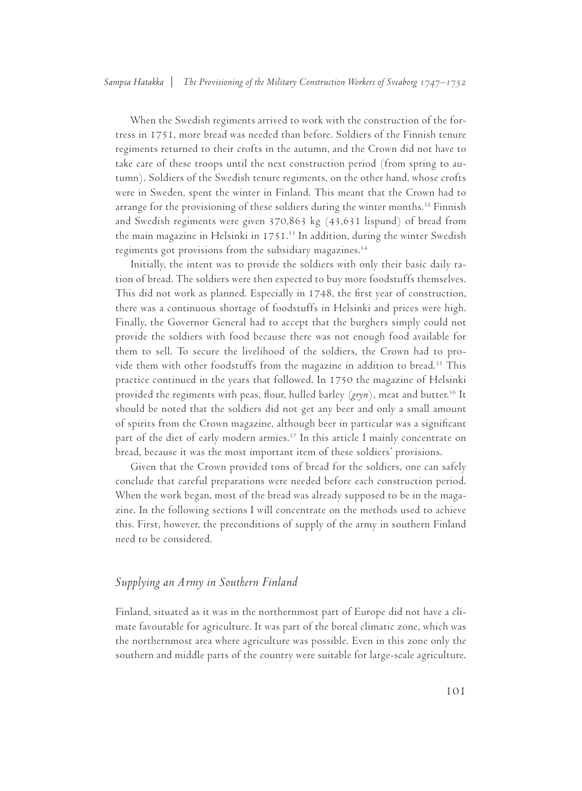When the Swedish regiments arrived to work with the construction of the fortress in 1751, more bread was needed than before. Soldiers of the Finnish tenure regiments returned to their crofts in the autumn, and the Crown did not have to take care of these troops until the next construction period (from spring to autumn). Soldiers of the Swedish tenure regiments, on the other hand, whose crofts were in Sweden, spent the winter in Finland. This meant that the Crown had to arrange for the provisioning of these soldiers during the winter months.<sup>32</sup> Finnish and Swedish regiments were given 370,863 kg (43,631 lispund) of bread from the main magazine in Helsinki in 1751.<sup>33</sup> In addition, during the winter Swedish regiments got provisions from the subsidiary magazines.<sup>34</sup>

Initially, the intent was to provide the soldiers with only their basic daily ration of bread. The soldiers were then expected to buy more foodstuffs themselves. This did not work as planned. Especially in 1748, the first year of construction, there was a continuous shortage of foodstuffs in Helsinki and prices were high. Finally, the Governor General had to accept that the burghers simply could not provide the soldiers with food because there was not enough food available for them to sell. To secure the livelihood of the soldiers, the Crown had to provide them with other foodstuffs from the magazine in addition to bread.<sup>35</sup> This practice continued in the years that followed. In 1750 the magazine of Helsinki provided the regiments with peas, flour, hulled barley (*gryn*), meat and butter.<sup>36</sup> It should be noted that the soldiers did not get any beer and only a small amount of spirits from the Crown magazine, although beer in particular was a significant part of the diet of early modern armies.<sup>37</sup> In this article I mainly concentrate on bread, because it was the most important item of these soldiers' provisions.

Given that the Crown provided tons of bread for the soldiers, one can safely conclude that careful preparations were needed before each construction period. When the work began, most of the bread was already supposed to be in the magazine. In the following sections I will concentrate on the methods used to achieve this. First, however, the preconditions of supply of the army in southern Finland need to be considered.

# *Supplying an Army in Southern Finland*

Finland, situated as it was in the northernmost part of Europe did not have a climate favourable for agriculture. It was part of the boreal climatic zone, which was the northernmost area where agriculture was possible. Even in this zone only the southern and middle parts of the country were suitable for large-scale agriculture.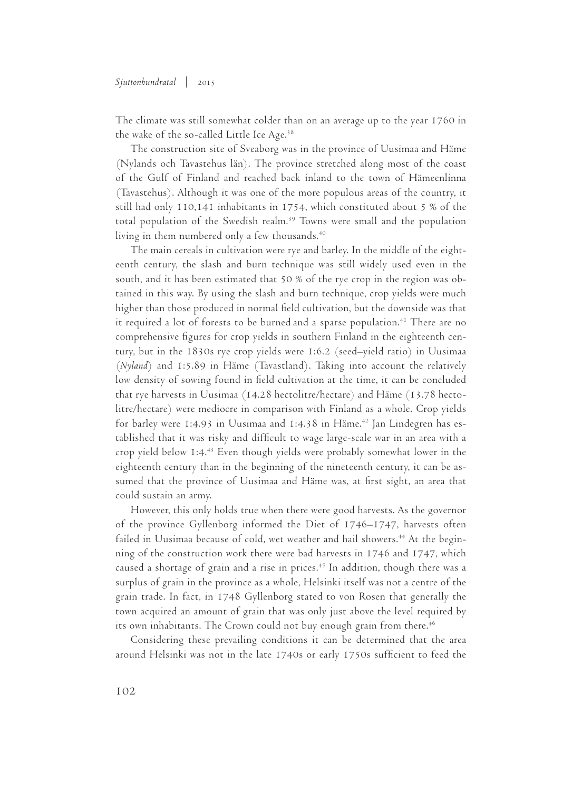#### *Sjuttonhundratal* | 2015

The climate was still somewhat colder than on an average up to the year 1760 in the wake of the so-called Little Ice Age. $38$ 

The construction site of Sveaborg was in the province of Uusimaa and Häme (Nylands och Tavastehus län). The province stretched along most of the coast of the Gulf of Finland and reached back inland to the town of Hämeenlinna (Tavastehus). Although it was one of the more populous areas of the country, it still had only 110,141 inhabitants in 1754, which constituted about 5 % of the total population of the Swedish realm.<sup>39</sup> Towns were small and the population living in them numbered only a few thousands.<sup>40</sup>

The main cereals in cultivation were rye and barley. In the middle of the eighteenth century, the slash and burn technique was still widely used even in the south, and it has been estimated that 50 % of the rye crop in the region was obtained in this way. By using the slash and burn technique, crop yields were much higher than those produced in normal field cultivation, but the downside was that it required a lot of forests to be burned and a sparse population.<sup>41</sup> There are no comprehensive figures for crop yields in southern Finland in the eighteenth century, but in the 1830s rye crop yields were 1:6.2 (seed–yield ratio) in Uusimaa (*Nyland*) and 1:5.89 in Häme (Tavastland). Taking into account the relatively low density of sowing found in field cultivation at the time, it can be concluded that rye harvests in Uusimaa (14.28 hectolitre/hectare) and Häme (13.78 hectolitre/hectare) were mediocre in comparison with Finland as a whole. Crop yields for barley were 1:4.93 in Uusimaa and 1:4.38 in Häme.<sup>42</sup> Jan Lindegren has established that it was risky and difficult to wage large-scale war in an area with a crop yield below 1:4.43 Even though yields were probably somewhat lower in the eighteenth century than in the beginning of the nineteenth century, it can be assumed that the province of Uusimaa and Häme was, at first sight, an area that could sustain an army.

However, this only holds true when there were good harvests. As the governor of the province Gyllenborg informed the Diet of 1746–1747, harvests often failed in Uusimaa because of cold, wet weather and hail showers.<sup>44</sup> At the beginning of the construction work there were bad harvests in 1746 and 1747, which caused a shortage of grain and a rise in prices.<sup>45</sup> In addition, though there was a surplus of grain in the province as a whole, Helsinki itself was not a centre of the grain trade. In fact, in 1748 Gyllenborg stated to von Rosen that generally the town acquired an amount of grain that was only just above the level required by its own inhabitants. The Crown could not buy enough grain from there.<sup>46</sup>

Considering these prevailing conditions it can be determined that the area around Helsinki was not in the late 1740s or early 1750s sufficient to feed the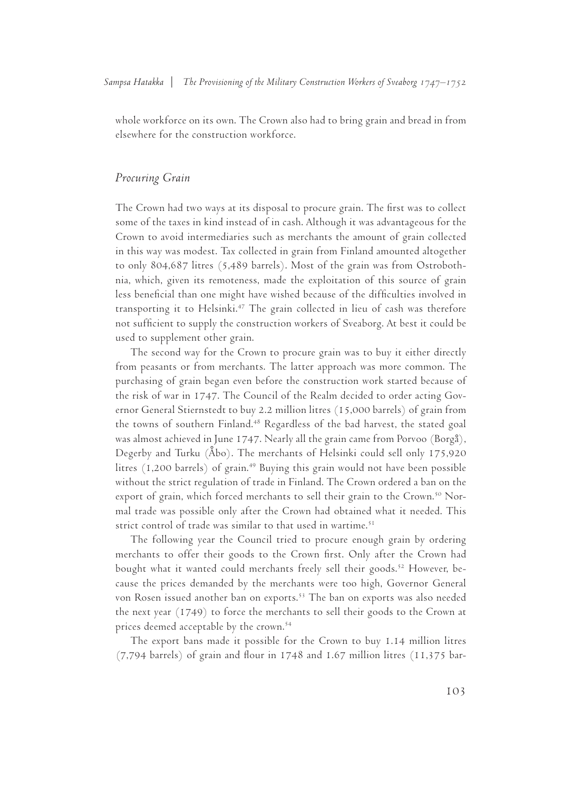whole workforce on its own. The Crown also had to bring grain and bread in from elsewhere for the construction workforce.

#### *Procuring Grain*

The Crown had two ways at its disposal to procure grain. The first was to collect some of the taxes in kind instead of in cash. Although it was advantageous for the Crown to avoid intermediaries such as merchants the amount of grain collected in this way was modest. Tax collected in grain from Finland amounted altogether to only 804,687 litres (5,489 barrels). Most of the grain was from Ostrobothnia, which, given its remoteness, made the exploitation of this source of grain less beneficial than one might have wished because of the difficulties involved in transporting it to Helsinki.<sup>47</sup> The grain collected in lieu of cash was therefore not sufficient to supply the construction workers of Sveaborg. At best it could be used to supplement other grain.

The second way for the Crown to procure grain was to buy it either directly from peasants or from merchants. The latter approach was more common. The purchasing of grain began even before the construction work started because of the risk of war in 1747. The Council of the Realm decided to order acting Governor General Stiernstedt to buy 2.2 million litres (15,000 barrels) of grain from the towns of southern Finland.<sup>48</sup> Regardless of the bad harvest, the stated goal was almost achieved in June 1747. Nearly all the grain came from Porvoo (Borgå), Degerby and Turku (Åbo). The merchants of Helsinki could sell only 175,920 litres (1,200 barrels) of grain.<sup>49</sup> Buying this grain would not have been possible without the strict regulation of trade in Finland. The Crown ordered a ban on the export of grain, which forced merchants to sell their grain to the Crown.<sup>50</sup> Normal trade was possible only after the Crown had obtained what it needed. This strict control of trade was similar to that used in wartime.<sup>51</sup>

The following year the Council tried to procure enough grain by ordering merchants to offer their goods to the Crown first. Only after the Crown had bought what it wanted could merchants freely sell their goods.<sup>52</sup> However, because the prices demanded by the merchants were too high, Governor General von Rosen issued another ban on exports.<sup>53</sup> The ban on exports was also needed the next year (1749) to force the merchants to sell their goods to the Crown at prices deemed acceptable by the crown.54

The export bans made it possible for the Crown to buy 1.14 million litres (7,794 barrels) of grain and flour in 1748 and 1.67 million litres (11,375 bar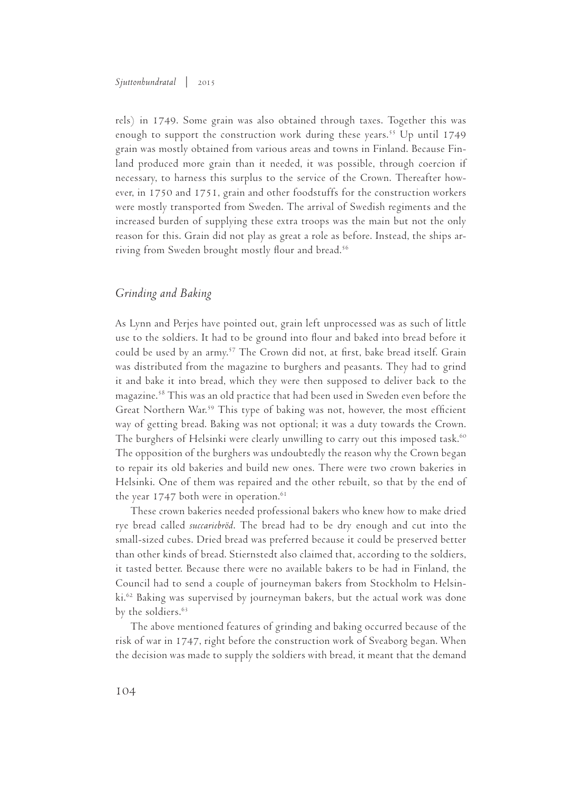rels) in 1749. Some grain was also obtained through taxes. Together this was enough to support the construction work during these years.<sup>55</sup> Up until 1749 grain was mostly obtained from various areas and towns in Finland. Because Finland produced more grain than it needed, it was possible, through coercion if necessary, to harness this surplus to the service of the Crown. Thereafter however, in 1750 and 1751, grain and other foodstuffs for the construction workers were mostly transported from Sweden. The arrival of Swedish regiments and the increased burden of supplying these extra troops was the main but not the only reason for this. Grain did not play as great a role as before. Instead, the ships arriving from Sweden brought mostly flour and bread.<sup>56</sup>

# *Grinding and Baking*

As Lynn and Perjes have pointed out, grain left unprocessed was as such of little use to the soldiers. It had to be ground into flour and baked into bread before it could be used by an army.<sup>57</sup> The Crown did not, at first, bake bread itself. Grain was distributed from the magazine to burghers and peasants. They had to grind it and bake it into bread, which they were then supposed to deliver back to the magazine.58 This was an old practice that had been used in Sweden even before the Great Northern War.<sup>59</sup> This type of baking was not, however, the most efficient way of getting bread. Baking was not optional; it was a duty towards the Crown. The burghers of Helsinki were clearly unwilling to carry out this imposed task.<sup>60</sup> The opposition of the burghers was undoubtedly the reason why the Crown began to repair its old bakeries and build new ones. There were two crown bakeries in Helsinki. One of them was repaired and the other rebuilt, so that by the end of the year  $1747$  both were in operation.<sup>61</sup>

These crown bakeries needed professional bakers who knew how to make dried rye bread called *succariebröd*. The bread had to be dry enough and cut into the small-sized cubes. Dried bread was preferred because it could be preserved better than other kinds of bread. Stiernstedt also claimed that, according to the soldiers, it tasted better. Because there were no available bakers to be had in Finland, the Council had to send a couple of journeyman bakers from Stockholm to Helsinki.62 Baking was supervised by journeyman bakers, but the actual work was done by the soldiers.<sup>63</sup>

The above mentioned features of grinding and baking occurred because of the risk of war in 1747, right before the construction work of Sveaborg began. When the decision was made to supply the soldiers with bread, it meant that the demand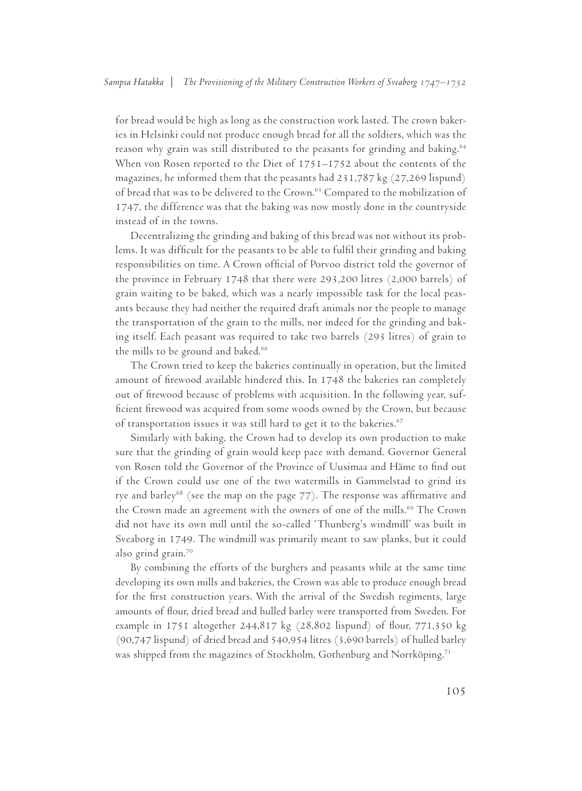for bread would be high as long as the construction work lasted. The crown bakeries in Helsinki could not produce enough bread for all the soldiers, which was the reason why grain was still distributed to the peasants for grinding and baking.<sup>64</sup> When von Rosen reported to the Diet of 1751–1752 about the contents of the magazines, he informed them that the peasants had 231,787 kg (27,269 lispund) of bread that was to be delivered to the Crown.<sup>65</sup> Compared to the mobilization of 1747, the difference was that the baking was now mostly done in the countryside instead of in the towns.

Decentralizing the grinding and baking of this bread was not without its problems. It was difficult for the peasants to be able to fulfil their grinding and baking responsibilities on time. A Crown official of Porvoo district told the governor of the province in February 1748 that there were 293,200 litres (2,000 barrels) of grain waiting to be baked, which was a nearly impossible task for the local peasants because they had neither the required draft animals nor the people to manage the transportation of the grain to the mills, nor indeed for the grinding and baking itself. Each peasant was required to take two barrels (293 litres) of grain to the mills to be ground and baked.<sup>66</sup>

The Crown tried to keep the bakeries continually in operation, but the limited amount of firewood available hindered this. In 1748 the bakeries ran completely out of firewood because of problems with acquisition. In the following year, sufficient firewood was acquired from some woods owned by the Crown, but because of transportation issues it was still hard to get it to the bakeries.<sup>67</sup>

Similarly with baking, the Crown had to develop its own production to make sure that the grinding of grain would keep pace with demand. Governor General von Rosen told the Governor of the Province of Uusimaa and Häme to find out if the Crown could use one of the two watermills in Gammelstad to grind its rye and barley<sup>68</sup> (see the map on the page  $77$ ). The response was affirmative and the Crown made an agreement with the owners of one of the mills.<sup>69</sup> The Crown did not have its own mill until the so-called 'Thunberg's windmill' was built in Sveaborg in 1749. The windmill was primarily meant to saw planks, but it could also grind grain.70

By combining the efforts of the burghers and peasants while at the same time developing its own mills and bakeries, the Crown was able to produce enough bread for the first construction years. With the arrival of the Swedish regiments, large amounts of flour, dried bread and hulled barley were transported from Sweden. For example in 1751 altogether 244,817 kg (28,802 lispund) of flour, 771,350 kg (90,747 lispund) of dried bread and 540,954 litres (3,690 barrels) of hulled barley was shipped from the magazines of Stockholm, Gothenburg and Norrköping.71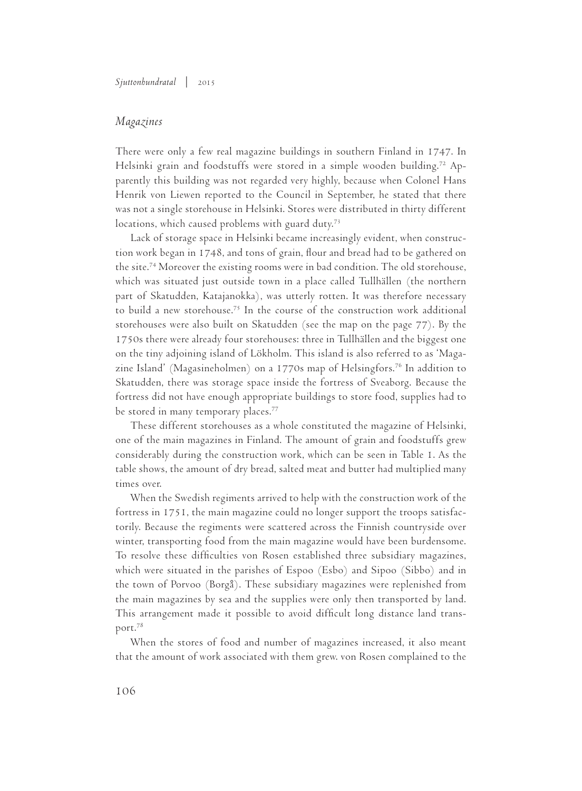## *Magazines*

There were only a few real magazine buildings in southern Finland in 1747. In Helsinki grain and foodstuffs were stored in a simple wooden building.<sup>72</sup> Apparently this building was not regarded very highly, because when Colonel Hans Henrik von Liewen reported to the Council in September, he stated that there was not a single storehouse in Helsinki. Stores were distributed in thirty different locations, which caused problems with guard duty.<sup>73</sup>

Lack of storage space in Helsinki became increasingly evident, when construction work began in 1748, and tons of grain, flour and bread had to be gathered on the site.74 Moreover the existing rooms were in bad condition. The old storehouse, which was situated just outside town in a place called Tullhällen (the northern part of Skatudden, Katajanokka), was utterly rotten. It was therefore necessary to build a new storehouse.75 In the course of the construction work additional storehouses were also built on Skatudden (see the map on the page 77). By the 1750s there were already four storehouses: three in Tullhällen and the biggest one on the tiny adjoining island of Lökholm. This island is also referred to as 'Magazine Island' (Magasineholmen) on a 1770s map of Helsingfors.76 In addition to Skatudden, there was storage space inside the fortress of Sveaborg. Because the fortress did not have enough appropriate buildings to store food, supplies had to be stored in many temporary places.<sup>77</sup>

These different storehouses as a whole constituted the magazine of Helsinki, one of the main magazines in Finland. The amount of grain and foodstuffs grew considerably during the construction work, which can be seen in Table 1. As the table shows, the amount of dry bread, salted meat and butter had multiplied many times over.

When the Swedish regiments arrived to help with the construction work of the fortress in 1751, the main magazine could no longer support the troops satisfactorily. Because the regiments were scattered across the Finnish countryside over winter, transporting food from the main magazine would have been burdensome. To resolve these difficulties von Rosen established three subsidiary magazines, which were situated in the parishes of Espoo (Esbo) and Sipoo (Sibbo) and in the town of Porvoo (Borgå). These subsidiary magazines were replenished from the main magazines by sea and the supplies were only then transported by land. This arrangement made it possible to avoid difficult long distance land transport.78

When the stores of food and number of magazines increased, it also meant that the amount of work associated with them grew. von Rosen complained to the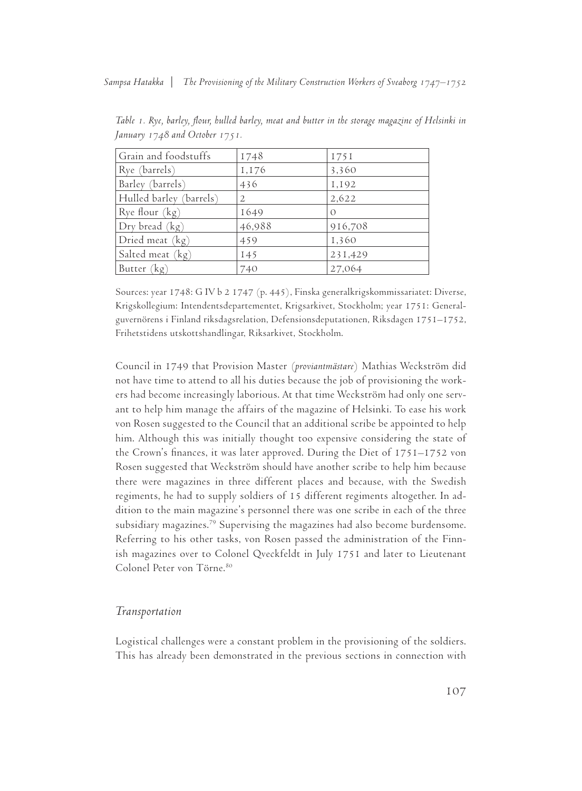*Sampsa Hatakka* | *The Provisioning of the Military Construction Workers of Sveaborg 1747–1752*

| Grain and foodstuffs    | 1748           | I75I     |
|-------------------------|----------------|----------|
| Rye (barrels)           | 1,176          | 3,360    |
| Barley (barrels)        | 436            | 1,192    |
| Hulled barley (barrels) | $\overline{2}$ | 2,622    |
| Rye flour (kg)          | 1649           | $\Omega$ |
| Dry bread (kg)          | 46,988         | 916,708  |
| Dried meat (kg)         | 459            | 1,360    |
| Salted meat (kg)        | 145            | 231,429  |
| Butter (kg)             | 740            | 27,064   |

*Table 1. Rye, barley, flour, hulled barley, meat and butter in the storage magazine of Helsinki in January 1748 and October 1751.* 

Sources: year 1748: G IV b 2 1747 (p. 445), Finska generalkrigskommissariatet: Diverse, Krigskollegium: Intendentsdepartementet, Krigsarkivet, Stockholm; year 1751: Generalguvernörens i Finland riksdagsrelation, Defensionsdeputationen, Riksdagen 1751–1752, Frihetstidens utskottshandlingar, Riksarkivet, Stockholm.

Council in 1749 that Provision Master (*proviantmästare*) Mathias Weckström did not have time to attend to all his duties because the job of provisioning the workers had become increasingly laborious. At that time Weckström had only one servant to help him manage the affairs of the magazine of Helsinki. To ease his work von Rosen suggested to the Council that an additional scribe be appointed to help him. Although this was initially thought too expensive considering the state of the Crown's finances, it was later approved. During the Diet of 1751–1752 von Rosen suggested that Weckström should have another scribe to help him because there were magazines in three different places and because, with the Swedish regiments, he had to supply soldiers of 15 different regiments altogether. In addition to the main magazine's personnel there was one scribe in each of the three subsidiary magazines.79 Supervising the magazines had also become burdensome. Referring to his other tasks, von Rosen passed the administration of the Finnish magazines over to Colonel Qveckfeldt in July 1751 and later to Lieutenant Colonel Peter von Törne.<sup>80</sup>

### *Transportation*

Logistical challenges were a constant problem in the provisioning of the soldiers. This has already been demonstrated in the previous sections in connection with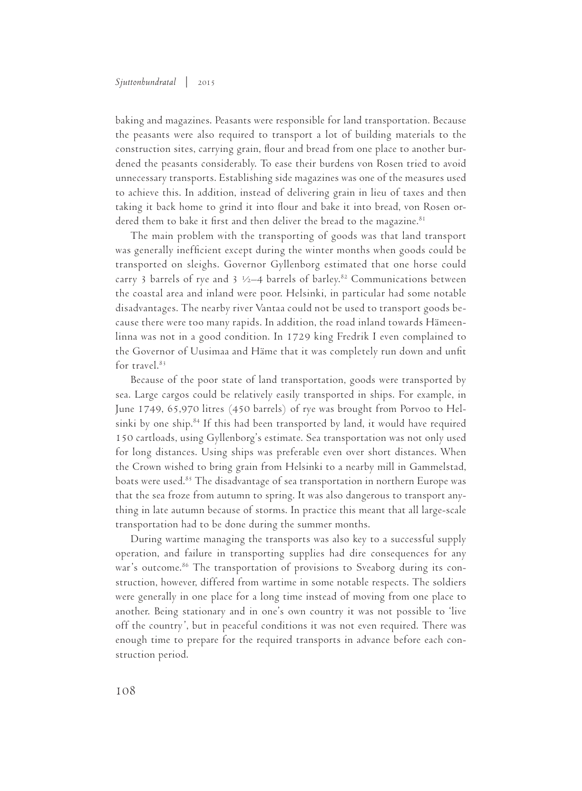baking and magazines. Peasants were responsible for land transportation. Because the peasants were also required to transport a lot of building materials to the construction sites, carrying grain, flour and bread from one place to another burdened the peasants considerably. To ease their burdens von Rosen tried to avoid unnecessary transports. Establishing side magazines was one of the measures used to achieve this. In addition, instead of delivering grain in lieu of taxes and then taking it back home to grind it into flour and bake it into bread, von Rosen ordered them to bake it first and then deliver the bread to the magazine. $81$ 

The main problem with the transporting of goods was that land transport was generally inefficient except during the winter months when goods could be transported on sleighs. Governor Gyllenborg estimated that one horse could carry 3 barrels of rye and 3  $\frac{1}{2}$  barrels of barley.<sup>82</sup> Communications between the coastal area and inland were poor. Helsinki, in particular had some notable disadvantages. The nearby river Vantaa could not be used to transport goods because there were too many rapids. In addition, the road inland towards Hämeenlinna was not in a good condition. In 1729 king Fredrik I even complained to the Governor of Uusimaa and Häme that it was completely run down and unfit for travel.<sup>83</sup>

Because of the poor state of land transportation, goods were transported by sea. Large cargos could be relatively easily transported in ships. For example, in June 1749, 65,970 litres (450 barrels) of rye was brought from Porvoo to Helsinki by one ship. $84$  If this had been transported by land, it would have required 150 cartloads, using Gyllenborg's estimate. Sea transportation was not only used for long distances. Using ships was preferable even over short distances. When the Crown wished to bring grain from Helsinki to a nearby mill in Gammelstad, boats were used.<sup>85</sup> The disadvantage of sea transportation in northern Europe was that the sea froze from autumn to spring. It was also dangerous to transport anything in late autumn because of storms. In practice this meant that all large-scale transportation had to be done during the summer months.

During wartime managing the transports was also key to a successful supply operation, and failure in transporting supplies had dire consequences for any war's outcome.<sup>86</sup> The transportation of provisions to Sveaborg during its construction, however, differed from wartime in some notable respects. The soldiers were generally in one place for a long time instead of moving from one place to another. Being stationary and in one's own country it was not possible to 'live off the country', but in peaceful conditions it was not even required. There was enough time to prepare for the required transports in advance before each construction period.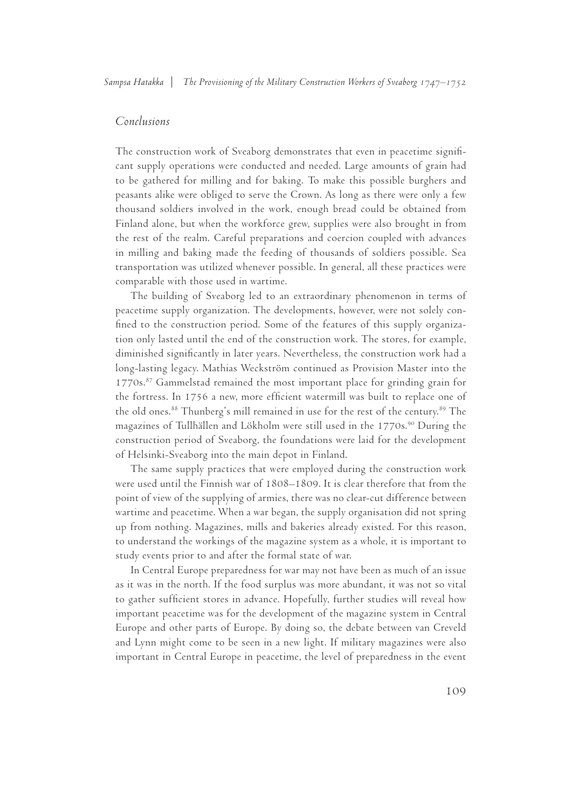# *Conclusions*

The construction work of Sveaborg demonstrates that even in peacetime significant supply operations were conducted and needed. Large amounts of grain had to be gathered for milling and for baking. To make this possible burghers and peasants alike were obliged to serve the Crown. As long as there were only a few thousand soldiers involved in the work, enough bread could be obtained from Finland alone, but when the workforce grew, supplies were also brought in from the rest of the realm. Careful preparations and coercion coupled with advances in milling and baking made the feeding of thousands of soldiers possible. Sea transportation was utilized whenever possible. In general, all these practices were comparable with those used in wartime.

The building of Sveaborg led to an extraordinary phenomenon in terms of peacetime supply organization. The developments, however, were not solely confined to the construction period. Some of the features of this supply organization only lasted until the end of the construction work. The stores, for example, diminished significantly in later years. Nevertheless, the construction work had a long-lasting legacy. Mathias Weckström continued as Provision Master into the 1770s.<sup>87</sup> Gammelstad remained the most important place for grinding grain for the fortress. In 1756 a new, more efficient watermill was built to replace one of the old ones.<sup>88</sup> Thunberg's mill remained in use for the rest of the century.<sup>89</sup> The magazines of Tullhällen and Lökholm were still used in the 1770s.<sup>90</sup> During the construction period of Sveaborg, the foundations were laid for the development of Helsinki-Sveaborg into the main depot in Finland.

The same supply practices that were employed during the construction work were used until the Finnish war of 1808–1809. It is clear therefore that from the point of view of the supplying of armies, there was no clear-cut difference between wartime and peacetime. When a war began, the supply organisation did not spring up from nothing. Magazines, mills and bakeries already existed. For this reason, to understand the workings of the magazine system as a whole, it is important to study events prior to and after the formal state of war.

In Central Europe preparedness for war may not have been as much of an issue as it was in the north. If the food surplus was more abundant, it was not so vital to gather sufficient stores in advance. Hopefully, further studies will reveal how important peacetime was for the development of the magazine system in Central Europe and other parts of Europe. By doing so, the debate between van Creveld and Lynn might come to be seen in a new light. If military magazines were also important in Central Europe in peacetime, the level of preparedness in the event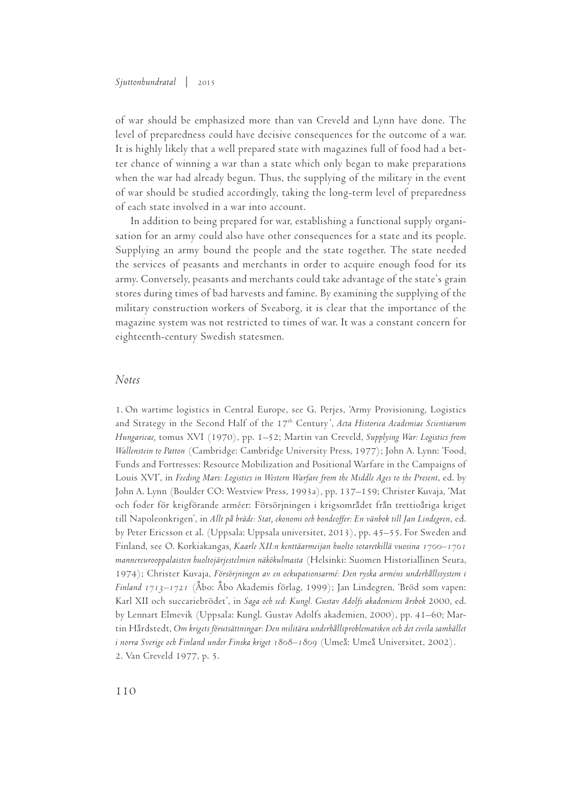#### *Sjuttonhundratal* | 2015

of war should be emphasized more than van Creveld and Lynn have done. The level of preparedness could have decisive consequences for the outcome of a war. It is highly likely that a well prepared state with magazines full of food had a better chance of winning a war than a state which only began to make preparations when the war had already begun. Thus, the supplying of the military in the event of war should be studied accordingly, taking the long-term level of preparedness of each state involved in a war into account.

In addition to being prepared for war, establishing a functional supply organisation for an army could also have other consequences for a state and its people. Supplying an army bound the people and the state together. The state needed the services of peasants and merchants in order to acquire enough food for its army. Conversely, peasants and merchants could take advantage of the state's grain stores during times of bad harvests and famine. By examining the supplying of the military construction workers of Sveaborg, it is clear that the importance of the magazine system was not restricted to times of war. It was a constant concern for eighteenth-century Swedish statesmen.

### *Notes*

1. On wartime logistics in Central Europe, see G. Perjes, 'Army Provisioning, Logistics and Strategy in the Second Half of the 17<sup>th</sup> Century', Acta Historica Academiae Scientiarum *Hungaricae,* tomus XVI (1970), pp. 1–52; Martin van Creveld, *Supplying War: Logistics from Wallenstein to Patton* (Cambridge: Cambridge University Press, 1977); John A. Lynn: 'Food, Funds and Fortresses: Resource Mobilization and Positional Warfare in the Campaigns of Louis XVI', in *Feeding Mars: Logistics in Western Warfare from the Middle Ages to the Present*, ed. by John A. Lynn (Boulder CO: Westview Press, 1993a), pp. 137–159; Christer Kuvaja, 'Mat och foder för krigförande arméer: Försörjningen i krigsområdet från trettioåriga kriget till Napoleonkrigen', in *Allt på bräde: Stat, ekonomi och bondeoffer: En vänbok till Jan Lindegren*, ed. by Peter Ericsson et al. (Uppsala: Uppsala universitet, 2013), pp. 45–55. For Sweden and Finland, see O. Korkiakangas*, Kaarle XII:n kenttäarmeijan huolto sotaretkillä vuosina 1700–1701 mannereurooppalaisten huoltojärjestelmien näkökulmasta* (Helsinki: Suomen Historiallinen Seura, 1974); Christer Kuvaja, *Försörjningen av en ockupationsarmé: Den ryska arméns underhållssystem i Finland 1713–1721* (Åbo: Åbo Akademis förlag, 1999); Jan Lindegren, 'Bröd som vapen: Karl XII och succariebrödet', in *Saga och sed: Kungl. Gustav Adolfs akademiens årsbok* 2000, ed. by Lennart Elmevik (Uppsala: Kungl. Gustav Adolfs akademien, 2000), pp. 41–60; Martin Hårdstedt, *Om krigets förutsättningar: Den militära underhållsproblematiken och det civila samhället i norra Sverige och Finland under Finska kriget 1808–1809* (Umeå: Umeå Universitet, 2002). 2. Van Creveld 1977, p. 5.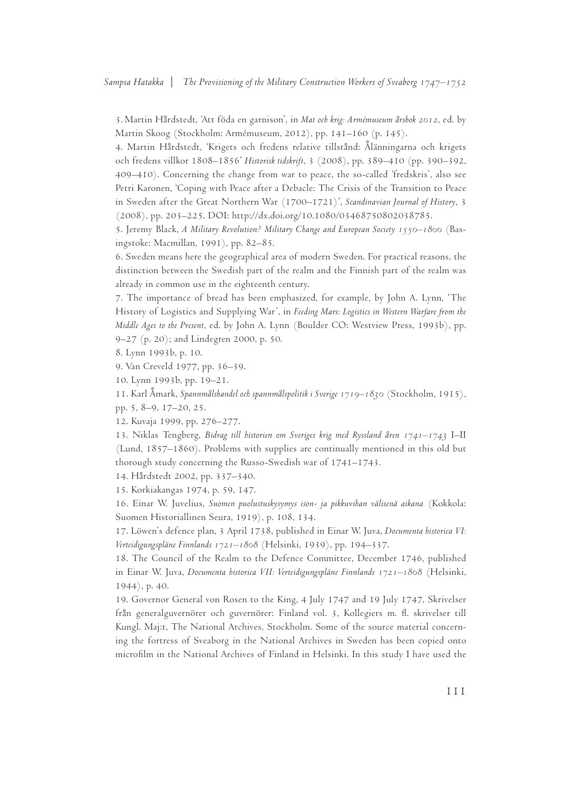3. Martin Hårdstedt, 'Att föda en garnison', in *Mat och krig: Armémuseum årsbok 2012*, ed. by Martin Skoog (Stockholm: Armémuseum, 2012), pp. 141–160 (p. 145).

4. Martin Hårdstedt, 'Krigets och fredens relative tillstånd: Ålänningarna och krigets och fredens villkor 1808–1856' *Historisk tidskrift*, 3 (2008), pp. 389–410 (pp. 390–392, 409–410). Concerning the change from war to peace, the so-called 'fredskris', also see Petri Karonen, 'Coping with Peace after a Debacle: The Crisis of the Transition to Peace in Sweden after the Great Northern War (1700–1721)', *Scandinavian Journal of History*, 3 (2008), pp. 203–225. DOI: http://dx.doi.org/10.1080/03468750802038785.

5. Jeremy Black, *A Military Revolution? Military Change and European Society 1550–1800* (Basingstoke: Macmillan, 1991), pp. 82–85.

6. Sweden means here the geographical area of modern Sweden. For practical reasons, the distinction between the Swedish part of the realm and the Finnish part of the realm was already in common use in the eighteenth century.

7. The importance of bread has been emphasized, for example, by John A. Lynn, 'The History of Logistics and Supplying War', in *Feeding Mars: Logistics in Western Warfare from the Middle Ages to the Present*, ed. by John A. Lynn (Boulder CO: Westview Press, 1993b), pp. 9–27 (p. 20); and Lindegren 2000, p. 50.

8. Lynn 1993b, p. 10.

9. Van Creveld 1977, pp. 36–39.

10. Lynn 1993b, pp. 19–21.

11. Karl Åmark, *Spannmålshandel och spannmålspolitik i Sverige 1719–1830* (Stockholm, 1915), pp. 5, 8–9, 17–20, 25.

12. Kuvaja 1999, pp. 276–277.

13. Niklas Tengberg, *Bidrag till historien om Sveriges krig med Ryssland åren 1741–1743* I–II (Lund, 1857–1860). Problems with supplies are continually mentioned in this old but thorough study concerning the Russo-Swedish war of 1741–1743.

14. Hårdstedt 2002, pp. 337–340.

15. Korkiakangas 1974, p. 59, 147.

16. Einar W. Juvelius, *Suomen puolustuskysymys ison- ja pikkuvihan välisenä aikana* (Kokkola: Suomen Historiallinen Seura, 1919), p. 108, 134.

17. Löwen's defence plan, 3 April 1738, published in Einar W. Juva, *Documenta historica VI: Verteidigungspläne Finnlands 1721–1808* (Helsinki, 1939), pp. 194–337.

18. The Council of the Realm to the Defence Committee, December 1746, published in Einar W. Juva, *Documenta historica VII: Verteidigungspläne Finnlands 1721–1808* (Helsinki, 1944), p. 40.

19. Governor General von Rosen to the King, 4 July 1747 and 19 July 1747, Skrivelser från generalguvernörer och guvernörer: Finland vol. 3, Kollegiers m. fl. skrivelser till Kungl. Maj:t, The National Archives, Stockholm. Some of the source material concerning the fortress of Sveaborg in the National Archives in Sweden has been copied onto microfilm in the National Archives of Finland in Helsinki. In this study I have used the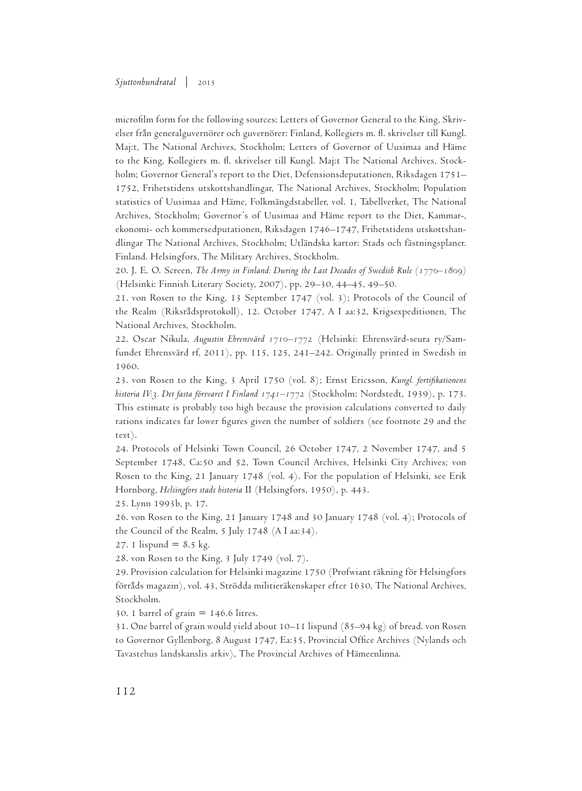microfilm form for the following sources: Letters of Governor General to the King, Skrivelser från generalguvernörer och guvernörer: Finland, Kollegiers m. fl. skrivelser till Kungl. Maj:t, The National Archives, Stockholm; Letters of Governor of Uusimaa and Häme to the King, Kollegiers m. fl. skrivelser till Kungl. Maj:t The National Archives, Stockholm; Governor General's report to the Diet, Defensionsdeputationen, Riksdagen 1751– 1752, Frihetstidens utskottshandlingar, The National Archives, Stockholm; Population statistics of Uusimaa and Häme, Folkmängdstabeller, vol. 1, Tabellverket, The National Archives, Stockholm; Governor's of Uusimaa and Häme report to the Diet, Kammar-, ekonomi- och kommersedputationen, Riksdagen 1746–1747, Frihetstidens utskottshandlingar The National Archives, Stockholm; Utländska kartor: Stads och fästningsplaner. Finland. Helsingfors, The Military Archives, Stockholm.

20. J. E. O. Screen, *The Army in Finland: During the Last Decades of Swedish Rule (1770–1809)* (Helsinki: Finnish Literary Society, 2007), pp. 29–30, 44–45, 49–50.

21. von Rosen to the King, 13 September 1747 (vol. 3); Protocols of the Council of the Realm (Riksrådsprotokoll), 12. October 1747, A I aa:32, Krigsexpeditionen, The National Archives, Stockholm.

22. Oscar Nikula, *Augustin Ehrensvärd 1710–1772* (Helsinki: Ehrensvärd-seura ry/Samfundet Ehrensvärd rf, 2011), pp. 115, 125, 241–242. Originally printed in Swedish in 1960.

23. von Rosen to the King, 3 April 1750 (vol. 8); Ernst Ericsson, *Kungl. fortifikationens historia IV:3. Det fasta försvaret I Finland 1741–1772* (Stockholm: Nordstedt, 1939), p. 173. This estimate is probably too high because the provision calculations converted to daily rations indicates far lower figures given the number of soldiers (see footnote 29 and the text).

24. Protocols of Helsinki Town Council, 26 October 1747, 2 November 1747, and 5 September 1748, Ca:50 and 52, Town Council Archives, Helsinki City Archives; von Rosen to the King, 21 January 1748 (vol. 4). For the population of Helsinki, see Erik Hornborg, *Helsingfors stads historia* II (Helsingfors, 1950), p. 443.

25. Lynn 1993b, p. 17.

26. von Rosen to the King, 21 January 1748 and 30 January 1748 (vol. 4); Protocols of the Council of the Realm, 5 July 1748 (A I aa:34).

27. 1 lispund =  $8.5 \text{ kg}$ .

28. von Rosen to the King, 3 July 1749 (vol. 7).

29. Provision calculation for Helsinki magazine 1750 (Profwiant räkning för Helsingfors förråds magazin), vol. 43, Strödda militieräkenskaper efter 1630, The National Archives, Stockholm.

30. 1 barrel of grain  $= 146.6$  litres.

31. One barrel of grain would yield about 10–11 lispund (85–94 kg) of bread. von Rosen to Governor Gyllenborg, 8 August 1747, Ea:35, Provincial Office Archives (Nylands och Tavastehus landskanslis arkiv), The Provincial Archives of Hämeenlinna.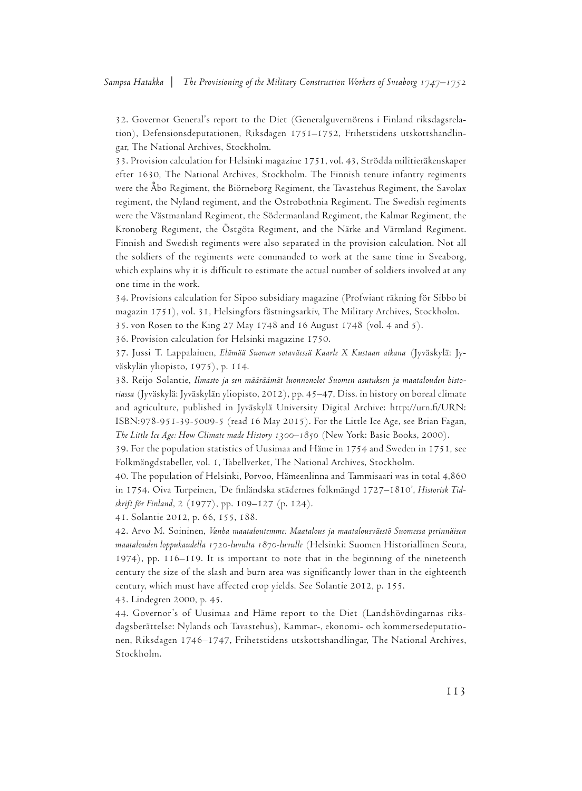32. Governor General's report to the Diet (Generalguvernörens i Finland riksdagsrelation), Defensionsdeputationen, Riksdagen 1751–1752, Frihetstidens utskottshandlingar, The National Archives, Stockholm.

33. Provision calculation for Helsinki magazine 1751, vol. 43, Strödda militieräkenskaper efter 1630, The National Archives, Stockholm. The Finnish tenure infantry regiments were the Åbo Regiment, the Biörneborg Regiment, the Tavastehus Regiment, the Savolax regiment, the Nyland regiment, and the Ostrobothnia Regiment. The Swedish regiments were the Västmanland Regiment, the Södermanland Regiment, the Kalmar Regiment, the Kronoberg Regiment, the Östgöta Regiment, and the Närke and Värmland Regiment. Finnish and Swedish regiments were also separated in the provision calculation. Not all the soldiers of the regiments were commanded to work at the same time in Sveaborg, which explains why it is difficult to estimate the actual number of soldiers involved at any one time in the work.

34. Provisions calculation for Sipoo subsidiary magazine (Profwiant räkning för Sibbo bi magazin 1751), vol. 31, Helsingfors fästningsarkiv, The Military Archives, Stockholm. 35. von Rosen to the King 27 May 1748 and 16 August 1748 (vol. 4 and 5).

36. Provision calculation for Helsinki magazine 1750.

37. Jussi T. Lappalainen, *Elämää Suomen sotaväessä Kaarle X Kustaan aikana* (Jyväskylä: Jyväskylän yliopisto, 1975), p. 114.

38. Reijo Solantie, *Ilmasto ja sen määräämät luonnonolot Suomen asutuksen ja maatalouden historiassa* (Jyväskylä: Jyväskylän yliopisto, 2012), pp. 45–47, Diss. in history on boreal climate and agriculture, published in Jyväskylä University Digital Archive: http://urn.fi/URN: ISBN:978-951-39-5009-5 (read 16 May 2015). For the Little Ice Age, see Brian Fagan, *The Little Ice Age: How Climate made History 1300–1850* (New York: Basic Books, 2000).

39. For the population statistics of Uusimaa and Häme in 1754 and Sweden in 1751, see Folkmängdstabeller, vol. 1, Tabellverket, The National Archives, Stockholm.

40. The population of Helsinki, Porvoo, Hämeenlinna and Tammisaari was in total 4,860 in 1754. Oiva Turpeinen, 'De finländska städernes folkmängd 1727–1810', *Historisk Tidskrift för Finland*, 2 (1977), pp. 109–127 (p. 124).

41. Solantie 2012, p. 66, 155, 188.

42. Arvo M. Soininen, *Vanha maataloutemme: Maatalous ja maatalousväestö Suomessa perinnäisen maatalouden loppukaudella 1720-luvulta 1870-luvulle* (Helsinki: Suomen Historiallinen Seura, 1974), pp. 116–119. It is important to note that in the beginning of the nineteenth century the size of the slash and burn area was significantly lower than in the eighteenth century, which must have affected crop yields. See Solantie 2012, p. 155.

43. Lindegren 2000, p. 45.

44. Governor's of Uusimaa and Häme report to the Diet (Landshövdingarnas riksdagsberättelse: Nylands och Tavastehus), Kammar-, ekonomi- och kommersedeputationen, Riksdagen 1746–1747, Frihetstidens utskottshandlingar, The National Archives, Stockholm.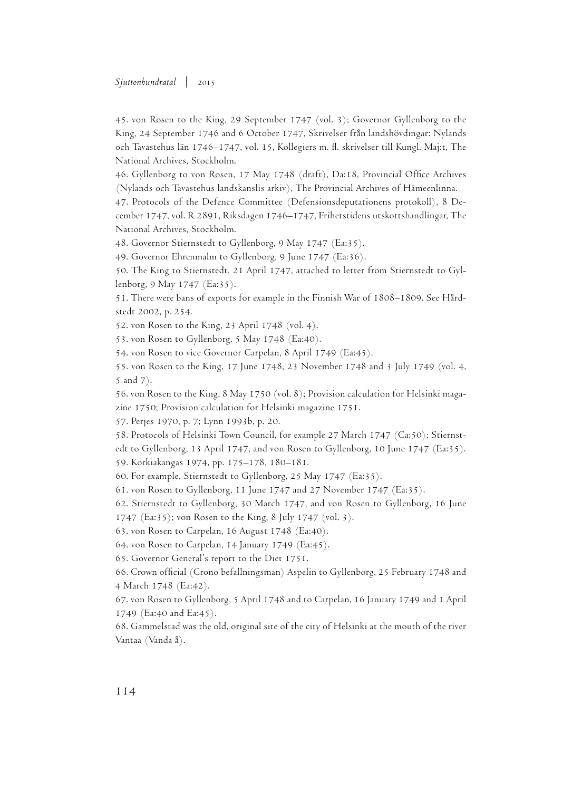45. von Rosen to the King, 29 September 1747 (vol. 3); Governor Gyllenborg to the King, 24 September 1746 and 6 October 1747, Skrivelser från landshövdingar: Nylands och Tavastehus län 1746–1747, vol. 15, Kollegiers m. fl. skrivelser till Kungl. Maj:t, The National Archives, Stockholm.

46. Gyllenborg to von Rosen, 17 May 1748 (draft), Da:18, Provincial Office Archives (Nylands och Tavastehus landskanslis arkiv), The Provincial Archives of Hämeenlinna.

47. Protocols of the Defence Committee (Defensionsdeputationens protokoll), 8 December 1747, vol. R 2891, Riksdagen 1746–1747, Frihetstidens utskottshandlingar, The National Archives, Stockholm.

48. Governor Stiernstedt to Gyllenborg, 9 May 1747 (Ea:35).

49. Governor Ehrenmalm to Gyllenborg, 9 June 1747 (Ea:36).

50. The King to Stiernstedt, 21 April 1747, attached to letter from Stiernstedt to Gyllenborg, 9 May 1747 (Ea:35).

51. There were bans of exports for example in the Finnish War of 1808–1809. See Hårdstedt 2002, p. 254.

52. von Rosen to the King, 23 April 1748 (vol. 4).

53. von Rosen to Gyllenborg, 5 May 1748 (Ea:40).

54. von Rosen to vice Governor Carpelan, 8 April 1749 (Ea:45).

55. von Rosen to the King, 17 June 1748, 23 November 1748 and 3 July 1749 (vol. 4, 5 and 7).

56. von Rosen to the King, 8 May 1750 (vol. 8); Provision calculation for Helsinki magazine 1750; Provision calculation for Helsinki magazine 1751.

57. Perjes 1970, p. 7; Lynn 1993b, p. 20.

58. Protocols of Helsinki Town Council, for example 27 March 1747 (Ca:50); Stiernstedt to Gyllenborg, 13 April 1747, and von Rosen to Gyllenborg, 10 June 1747 (Ea:35).

59. Korkiakangas 1974, pp. 175–178, 180–181.

60. For example, Stiernstedt to Gyllenborg, 25 May 1747 (Ea:35).

61. von Rosen to Gyllenborg, 11 June 1747 and 27 November 1747 (Ea:35).

62. Stiernstedt to Gyllenborg, 30 March 1747, and von Rosen to Gyllenborg, 16 June

1747 (Ea:35); von Rosen to the King, 8 July 1747 (vol. 3).

63. von Rosen to Carpelan, 16 August 1748 (Ea:40).

64. von Rosen to Carpelan, 14 January 1749 (Ea:45).

65. Governor General's report to the Diet 1751.

66. Crown official (Crono befallningsman) Aspelin to Gyllenborg, 25 February 1748 and 4 March 1748 (Ea:42).

67. von Rosen to Gyllenborg, 5 April 1748 and to Carpelan, 16 January 1749 and 1 April 1749 (Ea:40 and Ea:45).

68. Gammelstad was the old, original site of the city of Helsinki at the mouth of the river Vantaa (Vanda å).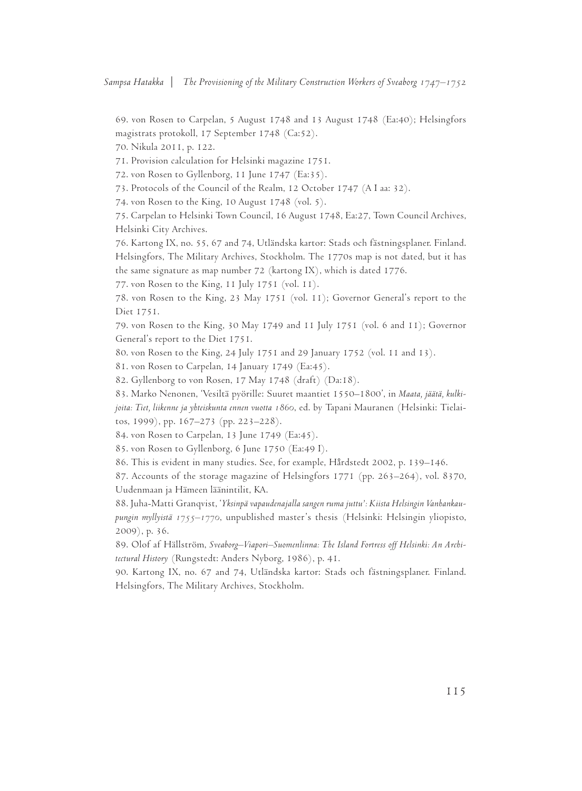69. von Rosen to Carpelan, 5 August 1748 and 13 August 1748 (Ea:40); Helsingfors magistrats protokoll, 17 September 1748 (Ca:52).

70. Nikula 2011, p. 122.

71. Provision calculation for Helsinki magazine 1751.

72. von Rosen to Gyllenborg, 11 June 1747 (Ea:35).

73. Protocols of the Council of the Realm, 12 October 1747 (A I aa: 32).

74. von Rosen to the King, 10 August 1748 (vol. 5).

75. Carpelan to Helsinki Town Council, 16 August 1748, Ea:27, Town Council Archives, Helsinki City Archives.

76. Kartong IX, no. 55, 67 and 74, Utländska kartor: Stads och fästningsplaner. Finland. Helsingfors, The Military Archives, Stockholm. The 1770s map is not dated, but it has the same signature as map number 72 (kartong IX), which is dated 1776.

77. von Rosen to the King, 11 July 1751 (vol. 11).

78. von Rosen to the King, 23 May 1751 (vol. 11); Governor General's report to the Diet 1751.

79. von Rosen to the King, 30 May 1749 and 11 July 1751 (vol. 6 and 11); Governor General's report to the Diet 1751.

80. von Rosen to the King, 24 July 1751 and 29 January 1752 (vol. 11 and 13).

81. von Rosen to Carpelan, 14 January 1749 (Ea:45).

82. Gyllenborg to von Rosen, 17 May 1748 (draft) (Da:18).

83. Marko Nenonen, 'Vesiltä pyörille: Suuret maantiet 1550–1800', in *Maata, jäätä, kulkijoita: Tiet, liikenne ja yhteiskunta ennen vuotta 1860*, ed. by Tapani Mauranen (Helsinki: Tielaitos, 1999), pp. 167–273 (pp. 223–228).

84. von Rosen to Carpelan, 13 June 1749 (Ea:45).

85. von Rosen to Gyllenborg, 6 June 1750 (Ea:49 I).

86. This is evident in many studies. See, for example, Hårdstedt 2002, p. 139–146.

87. Accounts of the storage magazine of Helsingfors 1771 (pp. 263–264), vol. 8370, Uudenmaan ja Hämeen läänintilit, KA.

88. Juha-Matti Granqvist, '*Yksinpä vapaudenajalla sangen ruma juttu': Kiista Helsingin Vanhankaupungin myllyistä 1755–1770*, unpublished master's thesis (Helsinki: Helsingin yliopisto, 2009), p. 36.

89. Olof af Hällström, *Sveaborg–Viapori–Suomenlinna: The Island Fortress off Helsinki: An Architectural History* (Rungstedt: Anders Nyborg, 1986), p. 41.

90. Kartong IX, no. 67 and 74, Utländska kartor: Stads och fästningsplaner. Finland. Helsingfors, The Military Archives, Stockholm.